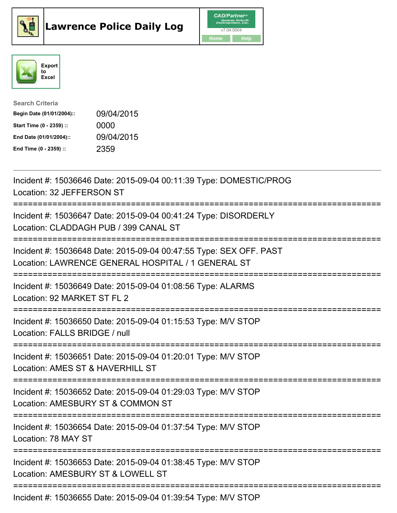





| <b>Search Criteria</b>    |            |
|---------------------------|------------|
| Begin Date (01/01/2004):: | 09/04/2015 |
| Start Time (0 - 2359) ::  | 0000       |
| End Date (01/01/2004)::   | 09/04/2015 |
| End Time (0 - 2359) ::    | 2359       |

| Incident #: 15036646 Date: 2015-09-04 00:11:39 Type: DOMESTIC/PROG<br>Location: 32 JEFFERSON ST                                      |
|--------------------------------------------------------------------------------------------------------------------------------------|
| Incident #: 15036647 Date: 2015-09-04 00:41:24 Type: DISORDERLY<br>Location: CLADDAGH PUB / 399 CANAL ST                             |
| Incident #: 15036648 Date: 2015-09-04 00:47:55 Type: SEX OFF. PAST<br>Location: LAWRENCE GENERAL HOSPITAL / 1 GENERAL ST             |
| Incident #: 15036649 Date: 2015-09-04 01:08:56 Type: ALARMS<br>Location: 92 MARKET ST FL 2                                           |
| Incident #: 15036650 Date: 2015-09-04 01:15:53 Type: M/V STOP<br>Location: FALLS BRIDGE / null<br>------------                       |
| Incident #: 15036651 Date: 2015-09-04 01:20:01 Type: M/V STOP<br>Location: AMES ST & HAVERHILL ST                                    |
| Incident #: 15036652 Date: 2015-09-04 01:29:03 Type: M/V STOP<br>Location: AMESBURY ST & COMMON ST<br>:============================= |
| Incident #: 15036654 Date: 2015-09-04 01:37:54 Type: M/V STOP<br>Location: 78 MAY ST                                                 |
| Incident #: 15036653 Date: 2015-09-04 01:38:45 Type: M/V STOP<br>Location: AMESBURY ST & LOWELL ST                                   |
| Incident #: 15036655 Date: 2015-09-04 01:39:54 Type: M/V STOP                                                                        |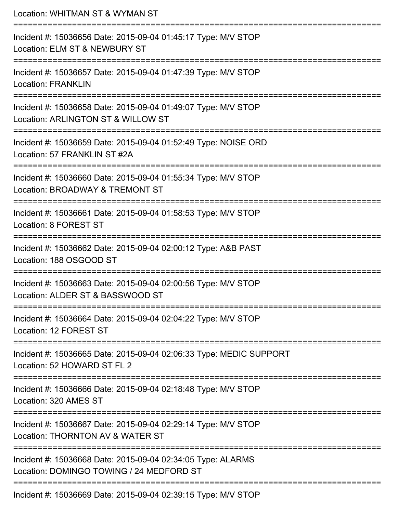| Location: WHITMAN ST & WYMAN ST                                                                                               |
|-------------------------------------------------------------------------------------------------------------------------------|
| Incident #: 15036656 Date: 2015-09-04 01:45:17 Type: M/V STOP<br>Location: ELM ST & NEWBURY ST<br>:========================== |
| Incident #: 15036657 Date: 2015-09-04 01:47:39 Type: M/V STOP<br><b>Location: FRANKLIN</b>                                    |
| Incident #: 15036658 Date: 2015-09-04 01:49:07 Type: M/V STOP<br>Location: ARLINGTON ST & WILLOW ST                           |
| Incident #: 15036659 Date: 2015-09-04 01:52:49 Type: NOISE ORD<br>Location: 57 FRANKLIN ST #2A                                |
| Incident #: 15036660 Date: 2015-09-04 01:55:34 Type: M/V STOP<br>Location: BROADWAY & TREMONT ST<br>:======================== |
| Incident #: 15036661 Date: 2015-09-04 01:58:53 Type: M/V STOP<br>Location: 8 FOREST ST                                        |
| Incident #: 15036662 Date: 2015-09-04 02:00:12 Type: A&B PAST<br>Location: 188 OSGOOD ST                                      |
| Incident #: 15036663 Date: 2015-09-04 02:00:56 Type: M/V STOP<br>Location: ALDER ST & BASSWOOD ST                             |
| Incident #: 15036664 Date: 2015-09-04 02:04:22 Type: M/V STOP<br>Location: 12 FOREST ST                                       |
| Incident #: 15036665 Date: 2015-09-04 02:06:33 Type: MEDIC SUPPORT<br>Location: 52 HOWARD ST FL 2                             |
| Incident #: 15036666 Date: 2015-09-04 02:18:48 Type: M/V STOP<br>Location: 320 AMES ST                                        |
| Incident #: 15036667 Date: 2015-09-04 02:29:14 Type: M/V STOP<br>Location: THORNTON AV & WATER ST                             |
| Incident #: 15036668 Date: 2015-09-04 02:34:05 Type: ALARMS<br>Location: DOMINGO TOWING / 24 MEDFORD ST                       |
| Incident #: 15036669 Date: 2015-09-04 02:39:15 Type: M/V STOP                                                                 |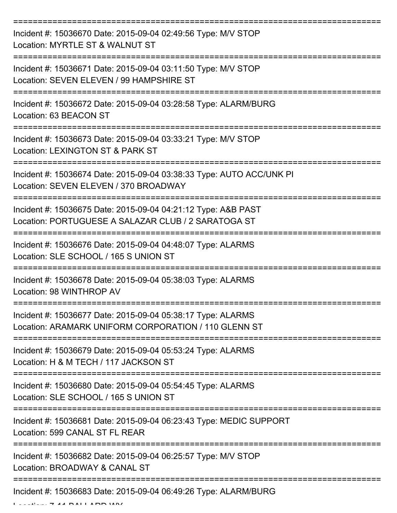| Incident #: 15036670 Date: 2015-09-04 02:49:56 Type: M/V STOP<br>Location: MYRTLE ST & WALNUT ST                     |
|----------------------------------------------------------------------------------------------------------------------|
| Incident #: 15036671 Date: 2015-09-04 03:11:50 Type: M/V STOP<br>Location: SEVEN ELEVEN / 99 HAMPSHIRE ST            |
| Incident #: 15036672 Date: 2015-09-04 03:28:58 Type: ALARM/BURG<br>Location: 63 BEACON ST                            |
| Incident #: 15036673 Date: 2015-09-04 03:33:21 Type: M/V STOP<br>Location: LEXINGTON ST & PARK ST                    |
| Incident #: 15036674 Date: 2015-09-04 03:38:33 Type: AUTO ACC/UNK PI<br>Location: SEVEN ELEVEN / 370 BROADWAY        |
| Incident #: 15036675 Date: 2015-09-04 04:21:12 Type: A&B PAST<br>Location: PORTUGUESE A SALAZAR CLUB / 2 SARATOGA ST |
| Incident #: 15036676 Date: 2015-09-04 04:48:07 Type: ALARMS<br>Location: SLE SCHOOL / 165 S UNION ST                 |
| Incident #: 15036678 Date: 2015-09-04 05:38:03 Type: ALARMS<br>Location: 98 WINTHROP AV                              |
| Incident #: 15036677 Date: 2015-09-04 05:38:17 Type: ALARMS<br>Location: ARAMARK UNIFORM CORPORATION / 110 GLENN ST  |
| Incident #: 15036679 Date: 2015-09-04 05:53:24 Type: ALARMS<br>Location: H & M TECH / 117 JACKSON ST                 |
| Incident #: 15036680 Date: 2015-09-04 05:54:45 Type: ALARMS<br>Location: SLE SCHOOL / 165 S UNION ST                 |
| Incident #: 15036681 Date: 2015-09-04 06:23:43 Type: MEDIC SUPPORT<br>Location: 599 CANAL ST FL REAR                 |
| Incident #: 15036682 Date: 2015-09-04 06:25:57 Type: M/V STOP<br>Location: BROADWAY & CANAL ST                       |
| Incident #: 15036683 Date: 2015-09-04 06:49:26 Type: ALARM/BURG                                                      |

 $\mathbf{L}$   $\mathbf{L}$   $\mathbf{L}$   $\mathbf{L}$   $\mathbf{L}$   $\mathbf{L}$   $\mathbf{L}$   $\mathbf{L}$   $\mathbf{L}$   $\mathbf{L}$   $\mathbf{L}$   $\mathbf{L}$   $\mathbf{L}$   $\mathbf{L}$   $\mathbf{L}$   $\mathbf{L}$   $\mathbf{L}$   $\mathbf{L}$   $\mathbf{L}$   $\mathbf{L}$   $\mathbf{L}$   $\mathbf{L}$   $\mathbf{L}$   $\mathbf{L}$   $\mathbf{$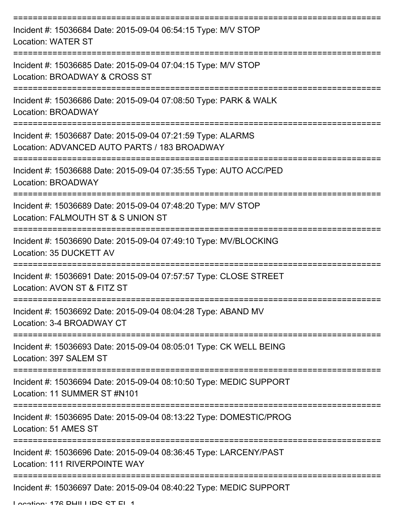| Incident #: 15036684 Date: 2015-09-04 06:54:15 Type: M/V STOP<br><b>Location: WATER ST</b>                  |
|-------------------------------------------------------------------------------------------------------------|
| Incident #: 15036685 Date: 2015-09-04 07:04:15 Type: M/V STOP<br>Location: BROADWAY & CROSS ST              |
| Incident #: 15036686 Date: 2015-09-04 07:08:50 Type: PARK & WALK<br>Location: BROADWAY                      |
| Incident #: 15036687 Date: 2015-09-04 07:21:59 Type: ALARMS<br>Location: ADVANCED AUTO PARTS / 183 BROADWAY |
| Incident #: 15036688 Date: 2015-09-04 07:35:55 Type: AUTO ACC/PED<br>Location: BROADWAY                     |
| Incident #: 15036689 Date: 2015-09-04 07:48:20 Type: M/V STOP<br>Location: FALMOUTH ST & S UNION ST         |
| Incident #: 15036690 Date: 2015-09-04 07:49:10 Type: MV/BLOCKING<br>Location: 35 DUCKETT AV                 |
| Incident #: 15036691 Date: 2015-09-04 07:57:57 Type: CLOSE STREET<br>Location: AVON ST & FITZ ST            |
| Incident #: 15036692 Date: 2015-09-04 08:04:28 Type: ABAND MV<br>Location: 3-4 BROADWAY CT                  |
| Incident #: 15036693 Date: 2015-09-04 08:05:01 Type: CK WELL BEING<br>Location: 397 SALEM ST                |
| Incident #: 15036694 Date: 2015-09-04 08:10:50 Type: MEDIC SUPPORT<br>Location: 11 SUMMER ST #N101          |
| Incident #: 15036695 Date: 2015-09-04 08:13:22 Type: DOMESTIC/PROG<br>Location: 51 AMES ST                  |
| Incident #: 15036696 Date: 2015-09-04 08:36:45 Type: LARCENY/PAST<br>Location: 111 RIVERPOINTE WAY          |
| Incident #: 15036697 Date: 2015-09-04 08:40:22 Type: MEDIC SUPPORT                                          |

Location: 176 DHILLIDO OT EL 1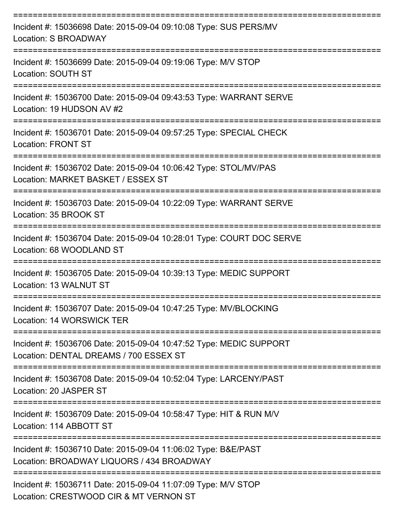| Incident #: 15036698 Date: 2015-09-04 09:10:08 Type: SUS PERS/MV<br>Location: S BROADWAY                     |
|--------------------------------------------------------------------------------------------------------------|
| Incident #: 15036699 Date: 2015-09-04 09:19:06 Type: M/V STOP<br>Location: SOUTH ST                          |
| Incident #: 15036700 Date: 2015-09-04 09:43:53 Type: WARRANT SERVE<br>Location: 19 HUDSON AV #2              |
| Incident #: 15036701 Date: 2015-09-04 09:57:25 Type: SPECIAL CHECK<br><b>Location: FRONT ST</b>              |
| Incident #: 15036702 Date: 2015-09-04 10:06:42 Type: STOL/MV/PAS<br>Location: MARKET BASKET / ESSEX ST       |
| Incident #: 15036703 Date: 2015-09-04 10:22:09 Type: WARRANT SERVE<br>Location: 35 BROOK ST                  |
| Incident #: 15036704 Date: 2015-09-04 10:28:01 Type: COURT DOC SERVE<br>Location: 68 WOODLAND ST             |
| Incident #: 15036705 Date: 2015-09-04 10:39:13 Type: MEDIC SUPPORT<br>Location: 13 WALNUT ST                 |
| Incident #: 15036707 Date: 2015-09-04 10:47:25 Type: MV/BLOCKING<br>Location: 14 WORSWICK TER                |
| Incident #: 15036706 Date: 2015-09-04 10:47:52 Type: MEDIC SUPPORT<br>Location: DENTAL DREAMS / 700 ESSEX ST |
| Incident #: 15036708 Date: 2015-09-04 10:52:04 Type: LARCENY/PAST<br>Location: 20 JASPER ST                  |
| Incident #: 15036709 Date: 2015-09-04 10:58:47 Type: HIT & RUN M/V<br>Location: 114 ABBOTT ST                |
| Incident #: 15036710 Date: 2015-09-04 11:06:02 Type: B&E/PAST<br>Location: BROADWAY LIQUORS / 434 BROADWAY   |
| Incident #: 15036711 Date: 2015-09-04 11:07:09 Type: M/V STOP<br>Location: CRESTWOOD CIR & MT VERNON ST      |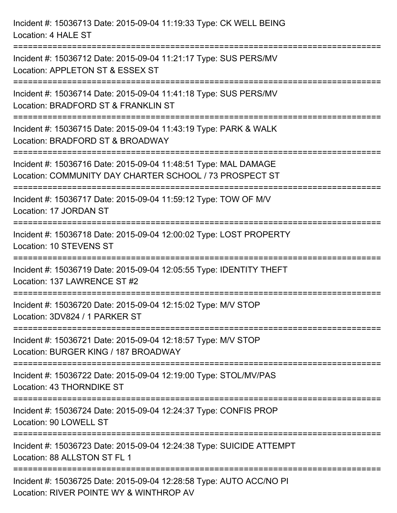| Incident #: 15036713 Date: 2015-09-04 11:19:33 Type: CK WELL BEING<br>Location: 4 HALE ST                                                            |
|------------------------------------------------------------------------------------------------------------------------------------------------------|
| Incident #: 15036712 Date: 2015-09-04 11:21:17 Type: SUS PERS/MV<br>Location: APPLETON ST & ESSEX ST                                                 |
| Incident #: 15036714 Date: 2015-09-04 11:41:18 Type: SUS PERS/MV<br>Location: BRADFORD ST & FRANKLIN ST                                              |
| Incident #: 15036715 Date: 2015-09-04 11:43:19 Type: PARK & WALK<br>Location: BRADFORD ST & BROADWAY                                                 |
| Incident #: 15036716 Date: 2015-09-04 11:48:51 Type: MAL DAMAGE<br>Location: COMMUNITY DAY CHARTER SCHOOL / 73 PROSPECT ST<br>:===================== |
| Incident #: 15036717 Date: 2015-09-04 11:59:12 Type: TOW OF M/V<br>Location: 17 JORDAN ST                                                            |
| ======================<br>Incident #: 15036718 Date: 2015-09-04 12:00:02 Type: LOST PROPERTY<br>Location: 10 STEVENS ST                              |
| Incident #: 15036719 Date: 2015-09-04 12:05:55 Type: IDENTITY THEFT<br>Location: 137 LAWRENCE ST #2                                                  |
| Incident #: 15036720 Date: 2015-09-04 12:15:02 Type: M/V STOP<br>Location: 3DV824 / 1 PARKER ST                                                      |
| Incident #: 15036721 Date: 2015-09-04 12:18:57 Type: M/V STOP<br>Location: BURGER KING / 187 BROADWAY                                                |
| Incident #: 15036722 Date: 2015-09-04 12:19:00 Type: STOL/MV/PAS<br>Location: 43 THORNDIKE ST                                                        |
| Incident #: 15036724 Date: 2015-09-04 12:24:37 Type: CONFIS PROP<br>Location: 90 LOWELL ST                                                           |
| Incident #: 15036723 Date: 2015-09-04 12:24:38 Type: SUICIDE ATTEMPT<br>Location: 88 ALLSTON ST FL 1                                                 |
| Incident #: 15036725 Date: 2015-09-04 12:28:58 Type: AUTO ACC/NO PI<br>Location: RIVER POINTE WY & WINTHROP AV                                       |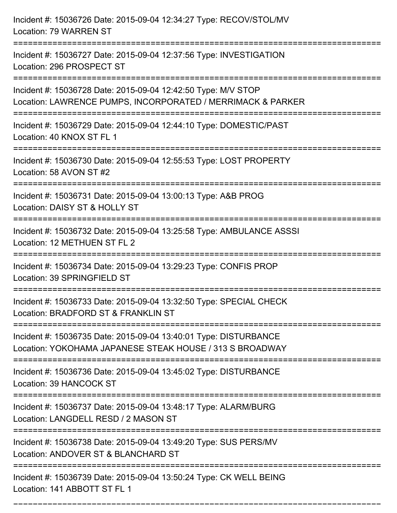| Incident #: 15036726 Date: 2015-09-04 12:34:27 Type: RECOV/STOL/MV<br>Location: 79 WARREN ST                                                                       |
|--------------------------------------------------------------------------------------------------------------------------------------------------------------------|
| Incident #: 15036727 Date: 2015-09-04 12:37:56 Type: INVESTIGATION<br>Location: 296 PROSPECT ST                                                                    |
| Incident #: 15036728 Date: 2015-09-04 12:42:50 Type: M/V STOP<br>Location: LAWRENCE PUMPS, INCORPORATED / MERRIMACK & PARKER<br>================================== |
| Incident #: 15036729 Date: 2015-09-04 12:44:10 Type: DOMESTIC/PAST<br>Location: 40 KNOX ST FL 1                                                                    |
| Incident #: 15036730 Date: 2015-09-04 12:55:53 Type: LOST PROPERTY<br>Location: 58 AVON ST #2<br>:============================                                     |
| Incident #: 15036731 Date: 2015-09-04 13:00:13 Type: A&B PROG<br>Location: DAISY ST & HOLLY ST                                                                     |
| Incident #: 15036732 Date: 2015-09-04 13:25:58 Type: AMBULANCE ASSSI<br>Location: 12 METHUEN ST FL 2                                                               |
| Incident #: 15036734 Date: 2015-09-04 13:29:23 Type: CONFIS PROP<br>Location: 39 SPRINGFIELD ST                                                                    |
| Incident #: 15036733 Date: 2015-09-04 13:32:50 Type: SPECIAL CHECK<br>Location: BRADFORD ST & FRANKLIN ST                                                          |
| Incident #: 15036735 Date: 2015-09-04 13:40:01 Type: DISTURBANCE<br>Location: YOKOHAMA JAPANESE STEAK HOUSE / 313 S BROADWAY                                       |
| Incident #: 15036736 Date: 2015-09-04 13:45:02 Type: DISTURBANCE<br>Location: 39 HANCOCK ST                                                                        |
| Incident #: 15036737 Date: 2015-09-04 13:48:17 Type: ALARM/BURG<br>Location: LANGDELL RESD / 2 MASON ST                                                            |
| Incident #: 15036738 Date: 2015-09-04 13:49:20 Type: SUS PERS/MV<br>Location: ANDOVER ST & BLANCHARD ST                                                            |
| Incident #: 15036739 Date: 2015-09-04 13:50:24 Type: CK WELL BEING<br>Location: 141 ABBOTT ST FL 1                                                                 |

===========================================================================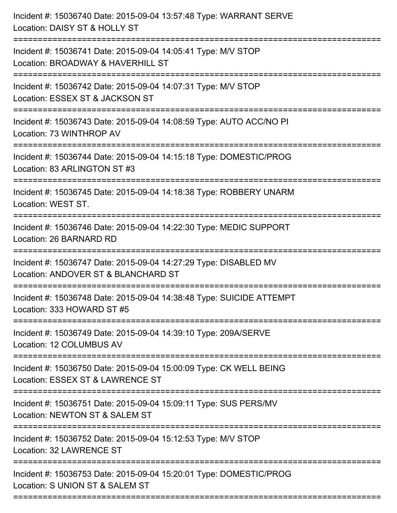| Incident #: 15036740 Date: 2015-09-04 13:57:48 Type: WARRANT SERVE<br>Location: DAISY ST & HOLLY ST                                                            |
|----------------------------------------------------------------------------------------------------------------------------------------------------------------|
| Incident #: 15036741 Date: 2015-09-04 14:05:41 Type: M/V STOP<br>Location: BROADWAY & HAVERHILL ST                                                             |
| Incident #: 15036742 Date: 2015-09-04 14:07:31 Type: M/V STOP<br>Location: ESSEX ST & JACKSON ST<br>:================================                          |
| Incident #: 15036743 Date: 2015-09-04 14:08:59 Type: AUTO ACC/NO PI<br>Location: 73 WINTHROP AV                                                                |
| Incident #: 15036744 Date: 2015-09-04 14:15:18 Type: DOMESTIC/PROG<br>Location: 83 ARLINGTON ST #3                                                             |
| Incident #: 15036745 Date: 2015-09-04 14:18:38 Type: ROBBERY UNARM<br>Location: WEST ST.                                                                       |
| Incident #: 15036746 Date: 2015-09-04 14:22:30 Type: MEDIC SUPPORT<br>Location: 26 BARNARD RD<br>===================================<br>====================== |
| Incident #: 15036747 Date: 2015-09-04 14:27:29 Type: DISABLED MV<br>Location: ANDOVER ST & BLANCHARD ST                                                        |
| Incident #: 15036748 Date: 2015-09-04 14:38:48 Type: SUICIDE ATTEMPT<br>Location: 333 HOWARD ST #5                                                             |
| Incident #: 15036749 Date: 2015-09-04 14:39:10 Type: 209A/SERVE<br>Location: 12 COLUMBUS AV                                                                    |
| Incident #: 15036750 Date: 2015-09-04 15:00:09 Type: CK WELL BEING<br>Location: ESSEX ST & LAWRENCE ST                                                         |
| Incident #: 15036751 Date: 2015-09-04 15:09:11 Type: SUS PERS/MV<br>Location: NEWTON ST & SALEM ST                                                             |
| Incident #: 15036752 Date: 2015-09-04 15:12:53 Type: M/V STOP<br>Location: 32 LAWRENCE ST                                                                      |
| Incident #: 15036753 Date: 2015-09-04 15:20:01 Type: DOMESTIC/PROG<br>Location: S UNION ST & SALEM ST                                                          |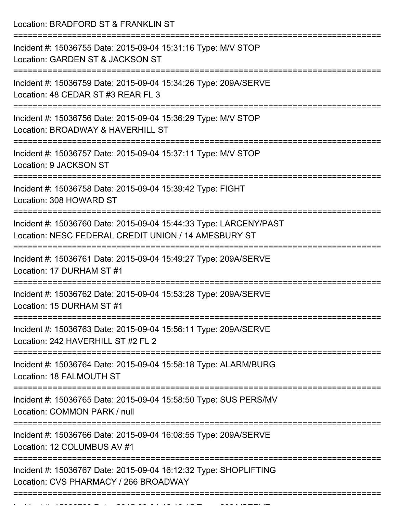Location: BRADFORD ST & FRANKLIN ST =========================================================================== Incident #: 15036755 Date: 2015-09-04 15:31:16 Type: M/V STOP Location: GARDEN ST & JACKSON ST ===========================================================================

Incident #: 15036759 Date: 2015-09-04 15:34:26 Type: 209A/SERVE Location: 48 CEDAR ST #3 REAR FL 3

===========================================================================

Incident #: 15036756 Date: 2015-09-04 15:36:29 Type: M/V STOP Location: BROADWAY & HAVERHILL ST

===========================================================================

Incident #: 15036757 Date: 2015-09-04 15:37:11 Type: M/V STOP Location: 9 JACKSON ST

===========================================================================

Incident #: 15036758 Date: 2015-09-04 15:39:42 Type: FIGHT Location: 308 HOWARD ST

===========================================================================

Incident #: 15036760 Date: 2015-09-04 15:44:33 Type: LARCENY/PAST Location: NESC FEDERAL CREDIT UNION / 14 AMESBURY ST

===========================================================================

Incident #: 15036761 Date: 2015-09-04 15:49:27 Type: 209A/SERVE Location: 17 DURHAM ST #1

===========================================================================

Incident #: 15036762 Date: 2015-09-04 15:53:28 Type: 209A/SERVE Location: 15 DURHAM ST #1

===========================================================================

Incident #: 15036763 Date: 2015-09-04 15:56:11 Type: 209A/SERVE Location: 242 HAVERHILL ST #2 FL 2

===========================================================================

Incident #: 15036764 Date: 2015-09-04 15:58:18 Type: ALARM/BURG Location: 18 FALMOUTH ST

===========================================================================

===========================================================================

Incident #: 15036765 Date: 2015-09-04 15:58:50 Type: SUS PERS/MV

Location: COMMON PARK / null

Incident #: 15036766 Date: 2015-09-04 16:08:55 Type: 209A/SERVE

Location: 12 COLUMBUS AV #1

===========================================================================

===========================================================================

Incident #: 15036767 Date: 2015-09-04 16:12:32 Type: SHOPLIFTING Location: CVS PHARMACY / 266 BROADWAY

Incident #: 15036768 Date: 2015 09 04 16:16:15 Type: 209A/SERVE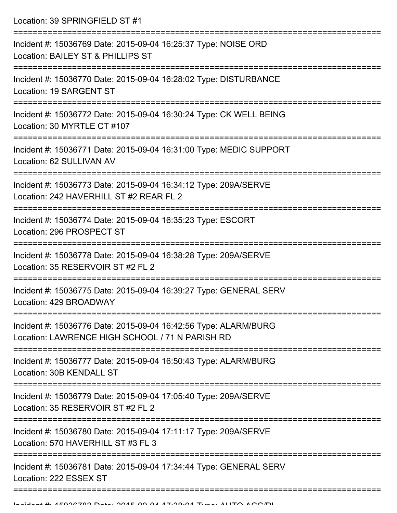Location: 39 SPRINGFIELD ST #1

| Incident #: 15036769 Date: 2015-09-04 16:25:37 Type: NOISE ORD<br>Location: BAILEY ST & PHILLIPS ST                |
|--------------------------------------------------------------------------------------------------------------------|
| Incident #: 15036770 Date: 2015-09-04 16:28:02 Type: DISTURBANCE<br>Location: 19 SARGENT ST                        |
| Incident #: 15036772 Date: 2015-09-04 16:30:24 Type: CK WELL BEING<br>Location: 30 MYRTLE CT #107                  |
| Incident #: 15036771 Date: 2015-09-04 16:31:00 Type: MEDIC SUPPORT<br>Location: 62 SULLIVAN AV                     |
| Incident #: 15036773 Date: 2015-09-04 16:34:12 Type: 209A/SERVE<br>Location: 242 HAVERHILL ST #2 REAR FL 2         |
| Incident #: 15036774 Date: 2015-09-04 16:35:23 Type: ESCORT<br>Location: 296 PROSPECT ST                           |
| Incident #: 15036778 Date: 2015-09-04 16:38:28 Type: 209A/SERVE<br>Location: 35 RESERVOIR ST #2 FL 2               |
| Incident #: 15036775 Date: 2015-09-04 16:39:27 Type: GENERAL SERV<br>Location: 429 BROADWAY                        |
| Incident #: 15036776 Date: 2015-09-04 16:42:56 Type: ALARM/BURG<br>Location: LAWRENCE HIGH SCHOOL / 71 N PARISH RD |
| Incident #: 15036777 Date: 2015-09-04 16:50:43 Type: ALARM/BURG<br>Location: 30B KENDALL ST                        |
| Incident #: 15036779 Date: 2015-09-04 17:05:40 Type: 209A/SERVE<br>Location: 35 RESERVOIR ST #2 FL 2               |
| Incident #: 15036780 Date: 2015-09-04 17:11:17 Type: 209A/SERVE<br>Location: 570 HAVERHILL ST #3 FL 3              |
| Incident #: 15036781 Date: 2015-09-04 17:34:44 Type: GENERAL SERV<br>Location: 222 ESSEX ST                        |
|                                                                                                                    |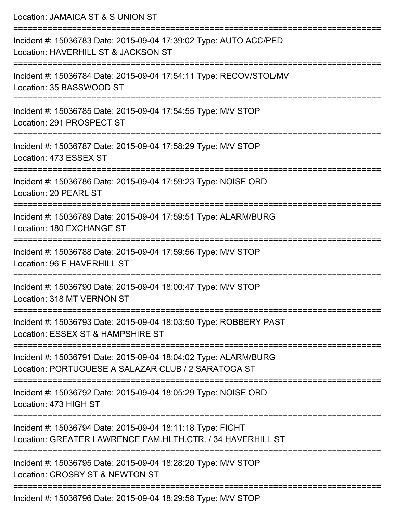| Location: JAMAICA ST & S UNION ST                                                                                                  |
|------------------------------------------------------------------------------------------------------------------------------------|
| Incident #: 15036783 Date: 2015-09-04 17:39:02 Type: AUTO ACC/PED<br>Location: HAVERHILL ST & JACKSON ST<br>====================== |
| Incident #: 15036784 Date: 2015-09-04 17:54:11 Type: RECOV/STOL/MV<br>Location: 35 BASSWOOD ST                                     |
| Incident #: 15036785 Date: 2015-09-04 17:54:55 Type: M/V STOP<br>Location: 291 PROSPECT ST                                         |
| Incident #: 15036787 Date: 2015-09-04 17:58:29 Type: M/V STOP<br>Location: 473 ESSEX ST                                            |
| Incident #: 15036786 Date: 2015-09-04 17:59:23 Type: NOISE ORD<br>Location: 20 PEARL ST                                            |
| Incident #: 15036789 Date: 2015-09-04 17:59:51 Type: ALARM/BURG<br>Location: 180 EXCHANGE ST                                       |
| Incident #: 15036788 Date: 2015-09-04 17:59:56 Type: M/V STOP<br>Location: 96 E HAVERHILL ST                                       |
| Incident #: 15036790 Date: 2015-09-04 18:00:47 Type: M/V STOP<br>Location: 318 MT VERNON ST                                        |
| Incident #: 15036793 Date: 2015-09-04 18:03:50 Type: ROBBERY PAST<br>Location: ESSEX ST & HAMPSHIRE ST                             |
| Incident #: 15036791 Date: 2015-09-04 18:04:02 Type: ALARM/BURG<br>Location: PORTUGUESE A SALAZAR CLUB / 2 SARATOGA ST             |
| Incident #: 15036792 Date: 2015-09-04 18:05:29 Type: NOISE ORD<br>Location: 473 HIGH ST                                            |
| Incident #: 15036794 Date: 2015-09-04 18:11:18 Type: FIGHT<br>Location: GREATER LAWRENCE FAM.HLTH.CTR. / 34 HAVERHILL ST           |
| Incident #: 15036795 Date: 2015-09-04 18:28:20 Type: M/V STOP<br>Location: CROSBY ST & NEWTON ST                                   |
| Incident #: 15036796 Date: 2015-09-04 18:29:58 Type: M/V STOP                                                                      |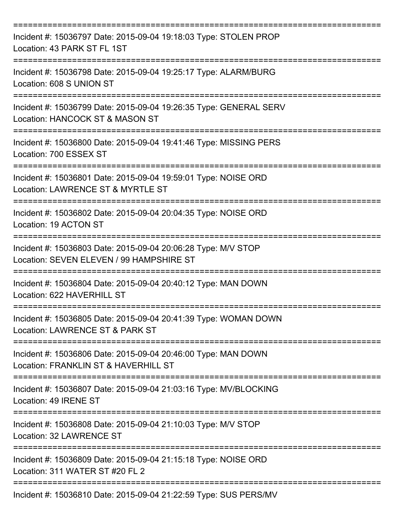| Incident #: 15036797 Date: 2015-09-04 19:18:03 Type: STOLEN PROP<br>Location: 43 PARK ST FL 1ST                      |
|----------------------------------------------------------------------------------------------------------------------|
| Incident #: 15036798 Date: 2015-09-04 19:25:17 Type: ALARM/BURG<br>Location: 608 S UNION ST                          |
| Incident #: 15036799 Date: 2015-09-04 19:26:35 Type: GENERAL SERV<br>Location: HANCOCK ST & MASON ST                 |
| Incident #: 15036800 Date: 2015-09-04 19:41:46 Type: MISSING PERS<br>Location: 700 ESSEX ST                          |
| Incident #: 15036801 Date: 2015-09-04 19:59:01 Type: NOISE ORD<br>Location: LAWRENCE ST & MYRTLE ST                  |
| Incident #: 15036802 Date: 2015-09-04 20:04:35 Type: NOISE ORD<br>Location: 19 ACTON ST<br>--------------------      |
| Incident #: 15036803 Date: 2015-09-04 20:06:28 Type: M/V STOP<br>Location: SEVEN ELEVEN / 99 HAMPSHIRE ST            |
| Incident #: 15036804 Date: 2015-09-04 20:40:12 Type: MAN DOWN<br>Location: 622 HAVERHILL ST                          |
| Incident #: 15036805 Date: 2015-09-04 20:41:39 Type: WOMAN DOWN<br>Location: LAWRENCE ST & PARK ST                   |
| Incident #: 15036806 Date: 2015-09-04 20:46:00 Type: MAN DOWN<br>Location: FRANKLIN ST & HAVERHILL ST                |
| Incident #: 15036807 Date: 2015-09-04 21:03:16 Type: MV/BLOCKING<br>Location: 49 IRENE ST<br>----------------------- |
| Incident #: 15036808 Date: 2015-09-04 21:10:03 Type: M/V STOP<br>Location: 32 LAWRENCE ST                            |
| Incident #: 15036809 Date: 2015-09-04 21:15:18 Type: NOISE ORD<br>Location: 311 WATER ST #20 FL 2                    |
| Incident #: 15036810 Date: 2015-09-04 21:22:59 Type: SUS PERS/MV                                                     |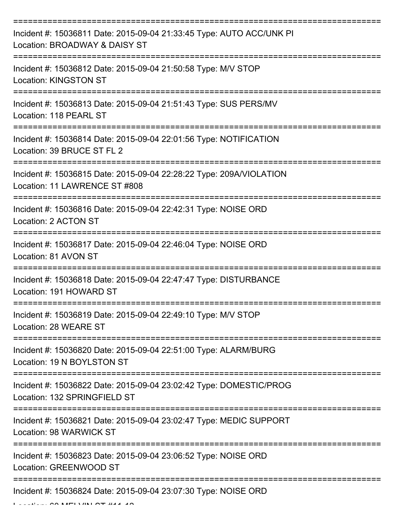| Incident #: 15036811 Date: 2015-09-04 21:33:45 Type: AUTO ACC/UNK PI<br>Location: BROADWAY & DAISY ST             |
|-------------------------------------------------------------------------------------------------------------------|
| Incident #: 15036812 Date: 2015-09-04 21:50:58 Type: M/V STOP<br><b>Location: KINGSTON ST</b>                     |
| Incident #: 15036813 Date: 2015-09-04 21:51:43 Type: SUS PERS/MV<br>Location: 118 PEARL ST                        |
| Incident #: 15036814 Date: 2015-09-04 22:01:56 Type: NOTIFICATION<br>Location: 39 BRUCE ST FL 2                   |
| Incident #: 15036815 Date: 2015-09-04 22:28:22 Type: 209A/VIOLATION<br>Location: 11 LAWRENCE ST #808<br>========= |
| Incident #: 15036816 Date: 2015-09-04 22:42:31 Type: NOISE ORD<br>Location: 2 ACTON ST<br>______________________  |
| Incident #: 15036817 Date: 2015-09-04 22:46:04 Type: NOISE ORD<br>Location: 81 AVON ST                            |
| Incident #: 15036818 Date: 2015-09-04 22:47:47 Type: DISTURBANCE<br>Location: 191 HOWARD ST                       |
| Incident #: 15036819 Date: 2015-09-04 22:49:10 Type: M/V STOP<br>Location: 28 WEARE ST                            |
| Incident #: 15036820 Date: 2015-09-04 22:51:00 Type: ALARM/BURG<br>Location: 19 N BOYLSTON ST                     |
| Incident #: 15036822 Date: 2015-09-04 23:02:42 Type: DOMESTIC/PROG<br>Location: 132 SPRINGFIELD ST                |
| Incident #: 15036821 Date: 2015-09-04 23:02:47 Type: MEDIC SUPPORT<br>Location: 98 WARWICK ST                     |
| Incident #: 15036823 Date: 2015-09-04 23:06:52 Type: NOISE ORD<br>Location: GREENWOOD ST                          |
| Incident #: 15036824 Date: 2015-09-04 23:07:30 Type: NOISE ORD<br>$A \rightarrow A$                               |